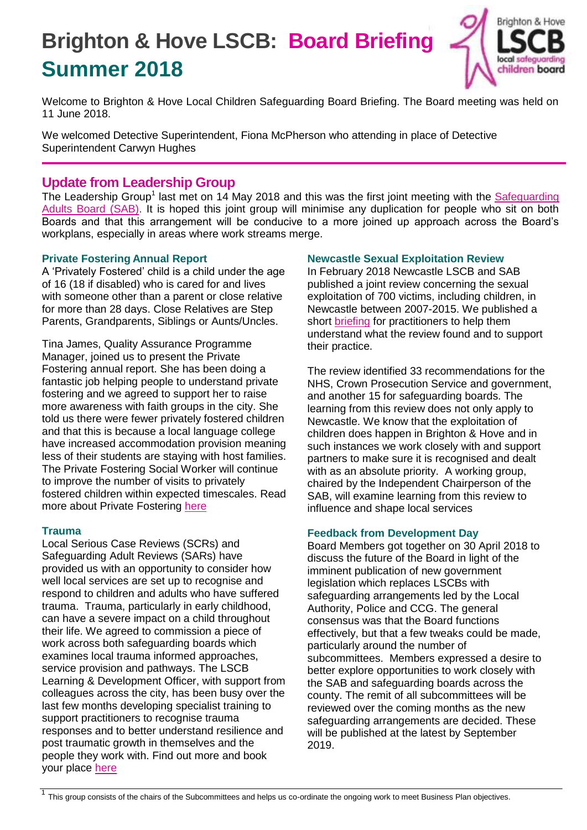# **Brighton & Hove LSCB: Board Briefing Summer 2018**



Welcome to Brighton & Hove Local Children Safeguarding Board Briefing. The Board meeting was held on 11 June 2018.

We welcomed Detective Superintendent, Fiona McPherson who attending in place of Detective Superintendent Carwyn Hughes

# **Update from Leadership Group**

The Leadership Group<sup>1</sup> last met on 14 May 2018 and this was the first joint meeting with the Safeguarding [Adults Board \(SAB\).](http://www.brightonandhovelscb.org.uk/safeguarding-adults-board/) It is hoped this joint group will minimise any duplication for people who sit on both Boards and that this arrangement will be conducive to a more joined up approach across the Board's workplans, especially in areas where work streams merge.

## **Private Fostering Annual Report**

A 'Privately Fostered' child is a child under the age of 16 (18 if disabled) who is cared for and lives with someone other than a parent or close relative for more than 28 days. Close Relatives are Step Parents, Grandparents, Siblings or Aunts/Uncles.

Tina James, Quality Assurance Programme Manager, joined us to present the Private Fostering annual report. She has been doing a fantastic job helping people to understand private fostering and we agreed to support her to raise more awareness with faith groups in the city. She told us there were fewer privately fostered children and that this is because a local language college have increased accommodation provision meaning less of their students are staying with host families. The Private Fostering Social Worker will continue to improve the number of visits to privately fostered children within expected timescales. Read more about Private Fostering [here](http://www.brightonandhovelscb.org.uk/private-fostering-week-2018/)

### **Trauma**

Local Serious Case Reviews (SCRs) and Safeguarding Adult Reviews (SARs) have provided us with an opportunity to consider how well local services are set up to recognise and respond to children and adults who have suffered trauma. Trauma, particularly in early childhood, can have a severe impact on a child throughout their life. We agreed to commission a piece of work across both safeguarding boards which examines local trauma informed approaches, service provision and pathways. The LSCB Learning & Development Officer, with support from colleagues across the city, has been busy over the last few months developing specialist training to support practitioners to recognise trauma responses and to better understand resilience and post traumatic growth in themselves and the people they work with. Find out more and book your place [here](http://www.brightonandhovelscb.org.uk/new-training-trauma-informed-practice/)

### **Newcastle Sexual Exploitation Review**

In February 2018 Newcastle LSCB and SAB published a joint review concerning the sexual exploitation of 700 victims, including children, in Newcastle between 2007-2015. We published a short [briefing](http://brightonandhovelscb.org.uk/wp-content/uploads/Newcastle-SCR-Briefing.pdf) for practitioners to help them understand what the review found and to support their practice.

The review identified 33 recommendations for the NHS, Crown Prosecution Service and government, and another 15 for safeguarding boards. The learning from this review does not only apply to Newcastle. We know that the exploitation of children does happen in Brighton & Hove and in such instances we work closely with and support partners to make sure it is recognised and dealt with as an absolute priority. A working group, chaired by the Independent Chairperson of the SAB, will examine learning from this review to influence and shape local services

### **Feedback from Development Day**

Board Members got together on 30 April 2018 to discuss the future of the Board in light of the imminent publication of new government legislation which replaces LSCBs with safeguarding arrangements led by the Local Authority, Police and CCG. The general consensus was that the Board functions effectively, but that a few tweaks could be made, particularly around the number of subcommittees. Members expressed a desire to better explore opportunities to work closely with the SAB and safeguarding boards across the county. The remit of all subcommittees will be reviewed over the coming months as the new safeguarding arrangements are decided. These will be published at the latest by September 2019.

<sup>&</sup>lt;sup>1</sup> This group consists of the chairs of the Subcommittees and helps us co-ordinate the ongoing work to meet Business Plan objectives.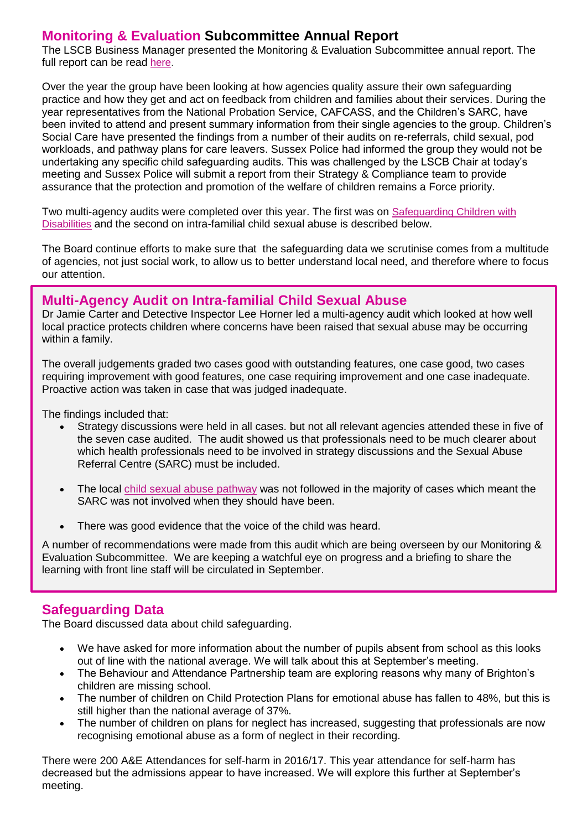# **Monitoring & Evaluation Subcommittee Annual Report**

The LSCB Business Manager presented the Monitoring & Evaluation Subcommittee annual report. The full report can be read [here.](http://brightonandhovelscb.org.uk/wp-content/uploads/ANNUAL-REPORT-OF-BRIGHTON-AND-HOVE-LSCB-MONITORING-AND-EVALUATION-SUB-COMMITTEE-May-2018-Autosaved.pdf)

Over the year the group have been looking at how agencies quality assure their own safeguarding practice and how they get and act on feedback from children and families about their services. During the year representatives from the National Probation Service, CAFCASS, and the Children's SARC, have been invited to attend and present summary information from their single agencies to the group. Children's Social Care have presented the findings from a number of their audits on re-referrals, child sexual, pod workloads, and pathway plans for care leavers. Sussex Police had informed the group they would not be undertaking any specific child safeguarding audits. This was challenged by the LSCB Chair at today's meeting and Sussex Police will submit a report from their Strategy & Compliance team to provide assurance that the protection and promotion of the welfare of children remains a Force priority.

Two multi-agency audits were completed over this year. The first was on [Safeguarding Children with](http://brightonandhovelscb.org.uk/safeguarding-children-with-disabilities/)  [Disabilities](http://brightonandhovelscb.org.uk/safeguarding-children-with-disabilities/) and the second on intra-familial child sexual abuse is described below.

The Board continue efforts to make sure that the safeguarding data we scrutinise comes from a multitude of agencies, not just social work, to allow us to better understand local need, and therefore where to focus our attention.

## **Multi-Agency Audit on Intra-familial Child Sexual Abuse**

Dr Jamie Carter and Detective Inspector Lee Horner led a multi-agency audit which looked at how well local practice protects children where concerns have been raised that sexual abuse may be occurring within a family.

The overall judgements graded two cases good with outstanding features, one case good, two cases requiring improvement with good features, one case requiring improvement and one case inadequate. Proactive action was taken in case that was judged inadequate.

The findings included that:

- Strategy discussions were held in all cases. but not all relevant agencies attended these in five of the seven case audited. The audit showed us that professionals need to be much clearer about which health professionals need to be involved in strategy discussions and the Sexual Abuse Referral Centre (SARC) must be included.
- The local [child sexual abuse pathway](http://brighton.proceduresonline.com/pdfs/csa_pathway.pdf) was not followed in the majority of cases which meant the SARC was not involved when they should have been.
- There was good evidence that the voice of the child was heard.

A number of recommendations were made from this audit which are being overseen by our Monitoring & Evaluation Subcommittee. We are keeping a watchful eye on progress and a briefing to share the learning with front line staff will be circulated in September.

# **Safeguarding Data**

The Board discussed data about child safeguarding.

- We have asked for more information about the number of pupils absent from school as this looks out of line with the national average. We will talk about this at September's meeting.
- The Behaviour and Attendance Partnership team are exploring reasons why many of Brighton's children are missing school.
- The number of children on Child Protection Plans for emotional abuse has fallen to 48%, but this is still higher than the national average of 37%.
- The number of children on plans for neglect has increased, suggesting that professionals are now recognising emotional abuse as a form of neglect in their recording.

There were 200 A&E Attendances for self-harm in 2016/17. This year attendance for self-harm has decreased but the admissions appear to have increased. We will explore this further at September's meeting.